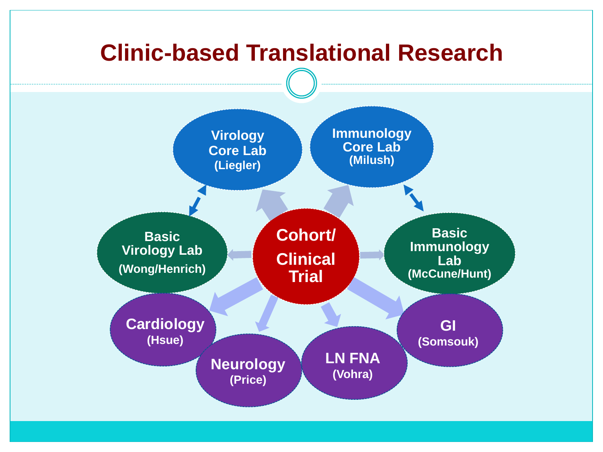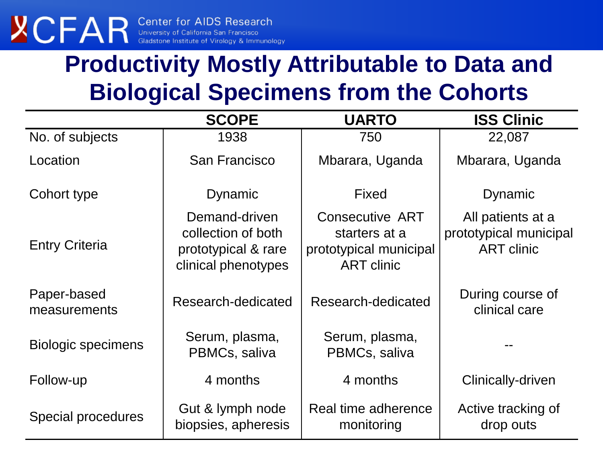### **Productivity Mostly Attributable to Data and Biological Specimens from the Cohorts**

|                             | <b>SCOPE</b>                                                                      | <b>UARTO</b>                                                                           | <b>ISS Clinic</b>                                                |
|-----------------------------|-----------------------------------------------------------------------------------|----------------------------------------------------------------------------------------|------------------------------------------------------------------|
| No. of subjects             | 1938                                                                              | 750                                                                                    | 22,087                                                           |
| Location                    | San Francisco                                                                     | Mbarara, Uganda                                                                        | Mbarara, Uganda                                                  |
| Cohort type                 | Dynamic                                                                           | <b>Fixed</b>                                                                           | Dynamic                                                          |
| <b>Entry Criteria</b>       | Demand-driven<br>collection of both<br>prototypical & rare<br>clinical phenotypes | <b>Consecutive ART</b><br>starters at a<br>prototypical municipal<br><b>ART</b> clinic | All patients at a<br>prototypical municipal<br><b>ART</b> clinic |
| Paper-based<br>measurements | Research-dedicated                                                                | Research-dedicated                                                                     | During course of<br>clinical care                                |
| <b>Biologic specimens</b>   | Serum, plasma,<br>PBMCs, saliva                                                   | Serum, plasma,<br>PBMCs, saliva                                                        |                                                                  |
| Follow-up                   | 4 months                                                                          | 4 months                                                                               | Clinically-driven                                                |
| Special procedures          | Gut & lymph node<br>biopsies, apheresis                                           | Real time adherence<br>monitoring                                                      | Active tracking of<br>drop outs                                  |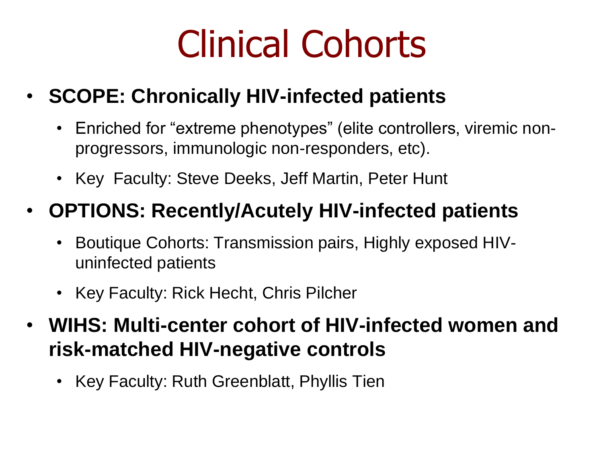# Clinical Cohorts

#### • **SCOPE: Chronically HIV-infected patients**

- Enriched for "extreme phenotypes" (elite controllers, viremic nonprogressors, immunologic non-responders, etc).
- Key Faculty: Steve Deeks, Jeff Martin, Peter Hunt

#### • **OPTIONS: Recently/Acutely HIV-infected patients**

- Boutique Cohorts: Transmission pairs, Highly exposed HIVuninfected patients
- Key Faculty: Rick Hecht, Chris Pilcher
- **WIHS: Multi-center cohort of HIV-infected women and risk-matched HIV-negative controls**
	- Key Faculty: Ruth Greenblatt, Phyllis Tien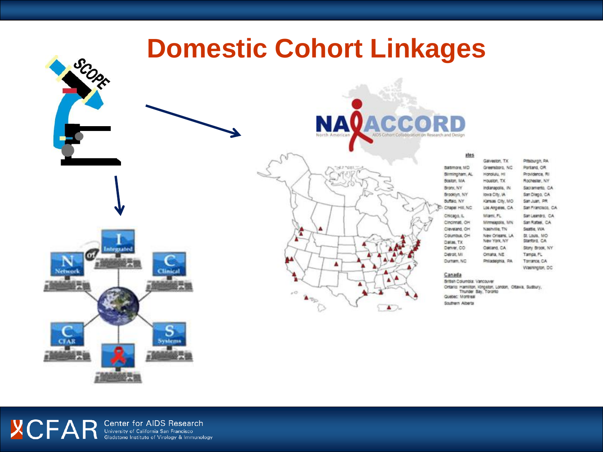





#### Canada

Durham, NC

British Columbia: Vancouver Ontario: Hamilton, Kingston, London, Ottawa, Sudbury, Quebec: Montreal Southern Alberta

Philadelphia, PA

Torrance, CA

Washington, DC

**YCFAR** Center for AIDS Research<br>Gladstone Institute of Virology & Immunology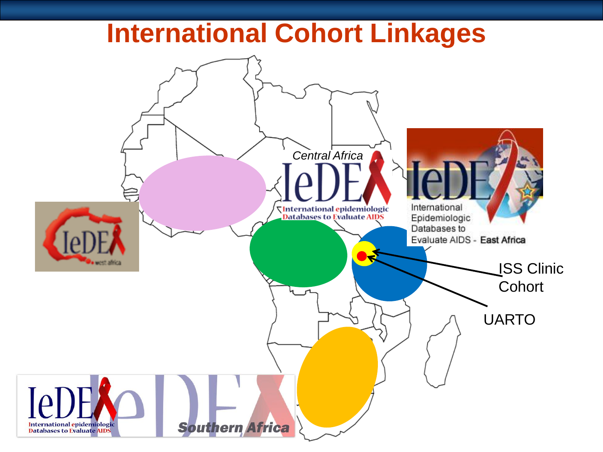## **International Cohort Linkages**

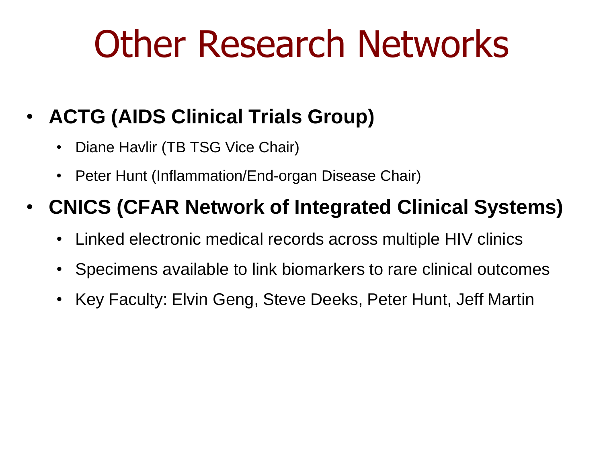# Other Research Networks

#### • **ACTG (AIDS Clinical Trials Group)**

- Diane Havlir (TB TSG Vice Chair)
- Peter Hunt (Inflammation/End-organ Disease Chair)

#### • **CNICS (CFAR Network of Integrated Clinical Systems)**

- Linked electronic medical records across multiple HIV clinics
- Specimens available to link biomarkers to rare clinical outcomes
- Key Faculty: Elvin Geng, Steve Deeks, Peter Hunt, Jeff Martin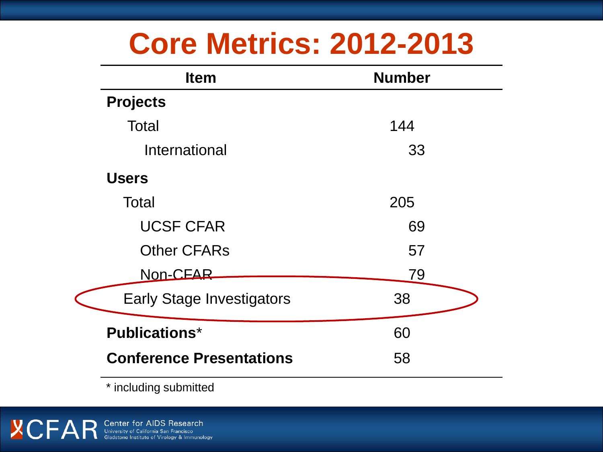# **Core Metrics: 2012-2013**

| <b>Item</b>                      | <b>Number</b> |
|----------------------------------|---------------|
| <b>Projects</b>                  |               |
| Total                            | 144           |
| International                    | 33            |
| <b>Users</b>                     |               |
| Total                            | 205           |
| <b>UCSF CFAR</b>                 | 69            |
| <b>Other CFARs</b>               | 57            |
| Non-CEAR                         | 79            |
| <b>Early Stage Investigators</b> | 38            |
| <b>Publications*</b>             | 60            |
| <b>Conference Presentations</b>  | 58            |

\* including submitted

**YCFAR** Center for AIDS Research<br>Gladstone Institute of Virology & Immunology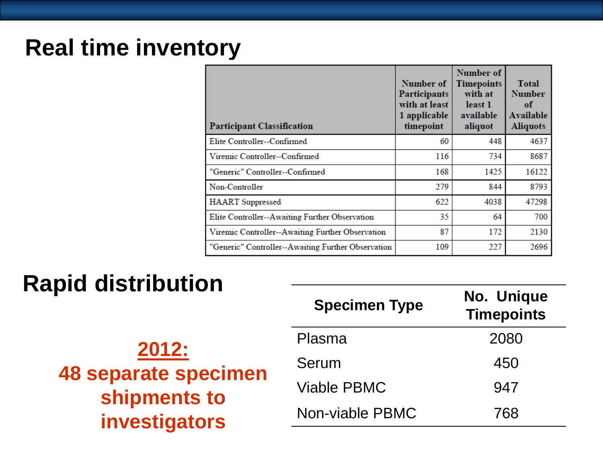#### **Real time inventory**

| <b>Participant Classification</b>                  | Number of<br><b>Participants</b><br>with at least<br>1 applicable<br>timepoint | Number of<br><b>Timepoints</b><br>with at<br>least 1<br>available<br>aliquot | <b>Total</b><br><b>Number</b><br>of<br>Available<br><b>Aliquots</b> |
|----------------------------------------------------|--------------------------------------------------------------------------------|------------------------------------------------------------------------------|---------------------------------------------------------------------|
| Elite Controller--Confirmed                        | 60                                                                             | 448                                                                          | 4637                                                                |
| Viremic Controller--Confirmed                      | 116                                                                            | 734                                                                          | 8687                                                                |
| "Generic" Controller--Confirmed                    | 168                                                                            | 1425                                                                         | 16122                                                               |
| Non-Controller                                     | 279                                                                            | 844                                                                          | 8793                                                                |
| <b>HAART</b> Suppressed                            | 622                                                                            | 4038                                                                         | 47298                                                               |
| Elite Controller--Awaiting Further Observation     | 35                                                                             | 64                                                                           | 700                                                                 |
| Viremic Controller--Awaiting Further Observation   | 87                                                                             | 172                                                                          | 2130                                                                |
| "Generic" Controller--Awaiting Further Observation | 109                                                                            | 227                                                                          | 2696                                                                |

#### **Rapid distribution**

|                                                                       | <b>Specimen Type</b> | No. Unique<br><b>Timepoints</b> |
|-----------------------------------------------------------------------|----------------------|---------------------------------|
| 2012:<br><b>48 separate specimen</b><br>shipments to<br>investigators | Plasma               | 2080                            |
|                                                                       | Serum                | 450                             |
|                                                                       | <b>Viable PBMC</b>   | 947                             |
|                                                                       | Non-viable PBMC      | 768                             |
|                                                                       |                      |                                 |